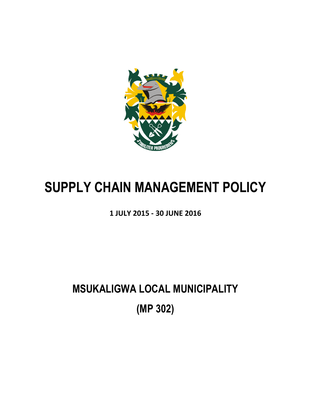

# **SUPPLY CHAIN MANAGEMENT POLICY**

**1 JULY 2015 - 30 JUNE 2016**

**MSUKALIGWA LOCAL MUNICIPALITY (MP 302)**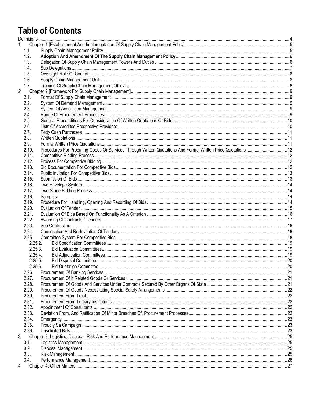## **Table of Contents**

| 1.   |         |                                                                                                               |  |
|------|---------|---------------------------------------------------------------------------------------------------------------|--|
| 1.1. |         |                                                                                                               |  |
| 1.2. |         |                                                                                                               |  |
| 1.3. |         |                                                                                                               |  |
| 1.4. |         |                                                                                                               |  |
| 1.5. |         |                                                                                                               |  |
| 1.6. |         |                                                                                                               |  |
| 1.7. |         |                                                                                                               |  |
| 2.   |         |                                                                                                               |  |
| 2.1. |         |                                                                                                               |  |
| 2.2. |         |                                                                                                               |  |
| 2.3. |         |                                                                                                               |  |
| 2.4. |         |                                                                                                               |  |
| 2.5. |         |                                                                                                               |  |
| 2.6. |         |                                                                                                               |  |
| 2.7. |         |                                                                                                               |  |
| 2.8. |         |                                                                                                               |  |
| 2.9. |         |                                                                                                               |  |
|      | 2.10.   | Procedures For Procuring Goods Or Services Through Written Quotations And Formal Written Price Quotations  12 |  |
|      | 2.11.   |                                                                                                               |  |
|      |         |                                                                                                               |  |
|      | 2.12.   |                                                                                                               |  |
|      | 2.13.   |                                                                                                               |  |
|      | 2.14.   |                                                                                                               |  |
|      | 2.15.   |                                                                                                               |  |
|      | 2.16.   |                                                                                                               |  |
|      | 2.17.   |                                                                                                               |  |
|      | 2.18.   |                                                                                                               |  |
|      | 2.19.   |                                                                                                               |  |
|      | 2.20.   |                                                                                                               |  |
|      | 2.21.   |                                                                                                               |  |
|      | 2.22.   |                                                                                                               |  |
|      | 2.23.   |                                                                                                               |  |
|      | 2.24.   |                                                                                                               |  |
|      | 2.25.   |                                                                                                               |  |
|      | 2.25.2. |                                                                                                               |  |
|      | 2.25.3. |                                                                                                               |  |
|      | 2.25.4. |                                                                                                               |  |
|      | 2.25.5. |                                                                                                               |  |
|      | 2.25.6. |                                                                                                               |  |
|      | 2.26.   |                                                                                                               |  |
|      | 2.27.   |                                                                                                               |  |
|      | 2.28.   |                                                                                                               |  |
|      | 2.29.   |                                                                                                               |  |
|      | 2.30.   |                                                                                                               |  |
|      | 2.31.   |                                                                                                               |  |
|      | 2.32.   |                                                                                                               |  |
|      | 2.33.   |                                                                                                               |  |
|      | 2.34.   |                                                                                                               |  |
|      | 2.35.   |                                                                                                               |  |
|      | 2.36.   |                                                                                                               |  |
|      |         |                                                                                                               |  |
| 3.   |         |                                                                                                               |  |
| 3.1. |         |                                                                                                               |  |
| 3.2. |         |                                                                                                               |  |
| 3.3. |         |                                                                                                               |  |
| 3.4. |         |                                                                                                               |  |
| 4.   |         |                                                                                                               |  |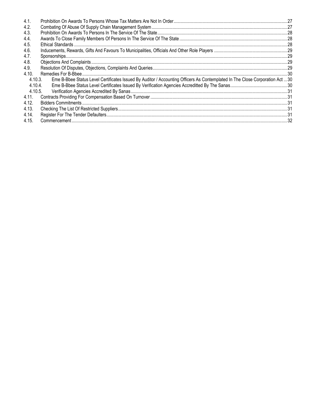| 4.1.    |                                                                                                                               |  |
|---------|-------------------------------------------------------------------------------------------------------------------------------|--|
| 4.2.    |                                                                                                                               |  |
| 4.3.    |                                                                                                                               |  |
| 4.4.    |                                                                                                                               |  |
| 4.5.    |                                                                                                                               |  |
| 4.6.    |                                                                                                                               |  |
| 4.7.    |                                                                                                                               |  |
| 4.8.    |                                                                                                                               |  |
| 4.9.    |                                                                                                                               |  |
| 4.10.   |                                                                                                                               |  |
| 4.10.3. | Eme B-Bbee Status Level Certificates Issued By Auditor / Accounting Officers As Contemplated In The Close Corporation Act  30 |  |
| 4.10.4. |                                                                                                                               |  |
| 4.10.5. |                                                                                                                               |  |
| 4.11.   |                                                                                                                               |  |
| 4.12.   |                                                                                                                               |  |
| 4.13.   |                                                                                                                               |  |
| 4.14.   |                                                                                                                               |  |
| 4.15.   |                                                                                                                               |  |
|         |                                                                                                                               |  |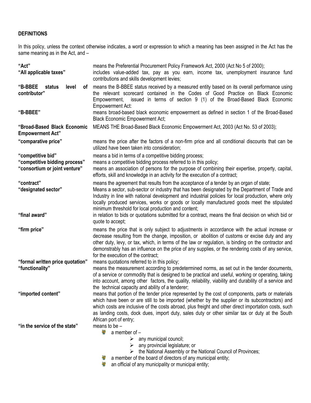## <span id="page-3-0"></span>**DEFINITIONS**

In this policy, unless the context otherwise indicates, a word or expression to which a meaning has been assigned in the Act has the same meaning as in the Act, and –

| "Act"<br>"All applicable taxes"                                                     | means the Preferential Procurement Policy Framework Act, 2000 (Act No 5 of 2000);<br>includes value-added tax, pay as you earn, income tax, unemployment insurance fund<br>contributions and skills development levies;                                                                                                                                                                                                                               |
|-------------------------------------------------------------------------------------|-------------------------------------------------------------------------------------------------------------------------------------------------------------------------------------------------------------------------------------------------------------------------------------------------------------------------------------------------------------------------------------------------------------------------------------------------------|
| "B-BBEE<br>status<br>level<br>0f<br>contributor"                                    | means the B-BBEE status received by a measured entity based on its overall performance using<br>the relevant scorecard contained in the Codes of Good Practice on Black Economic<br>issued in terms of section 9 (1) of the Broad-Based Black Economic<br>Empowerment,<br><b>Empowerment Act:</b>                                                                                                                                                     |
| "B-BBEE"                                                                            | means broad-based black economic empowerment as defined in section 1 of the Broad-Based<br><b>Black Economic Empowerment Act;</b>                                                                                                                                                                                                                                                                                                                     |
| "Broad-Based Black Economic<br><b>Empowerment Act"</b>                              | MEANS THE Broad-Based Black Economic Empowerment Act, 2003 (Act No. 53 of 2003);                                                                                                                                                                                                                                                                                                                                                                      |
| "comparative price"                                                                 | means the price after the factors of a non-firm price and all conditional discounts that can be<br>utilized have been taken into consideration;                                                                                                                                                                                                                                                                                                       |
| "competitive bid"<br>"competitive bidding process"<br>"consortium or joint venture" | means a bid in terms of a competitive bidding process;<br>means a competitive bidding process referred to in this policy;<br>means an association of persons for the purpose of combining their expertise, property, capital,<br>efforts, skill and knowledge in an activity for the execution of a contract;                                                                                                                                         |
| "contract"<br>"designated sector"                                                   | means the agreement that results from the acceptance of a tender by an organ of state;<br>Means a sector, sub-sector or industry that has been designated by the Department of Trade and<br>Industry in line with national development and industrial policies for local production, where only<br>locally produced services, works or goods or locally manufactured goods meet the stipulated<br>minimum threshold for local production and content; |
| "final award"                                                                       | in relation to bids or quotations submitted for a contract, means the final decision on which bid or<br>quote to accept;                                                                                                                                                                                                                                                                                                                              |
| "firm price"                                                                        | means the price that is only subject to adjustments in accordance with the actual increase or<br>decrease resulting from the change, imposition, or abolition of customs or excise duty and any<br>other duty, levy, or tax, which, in terms of the law or regulation, is binding on the contractor and<br>demonstrably has an influence on the price of any supplies, or the rendering costs of any service,<br>for the execution of the contract;   |
| "formal written price quotation"<br>"functionality"                                 | means quotations referred to in this policy;<br>means the measurement according to predetermined norms, as set out in the tender documents,<br>of a service or commodity that is designed to be practical and useful, working or operating, taking<br>into account, among other factors, the quality, reliability, viability and durability of a service and<br>the technical capacity and ability of a tenderer;                                     |
| "imported content"                                                                  | means that portion of the tender price represented by the cost of components, parts or materials<br>which have been or are still to be imported (whether by the supplier or its subcontractors) and<br>which costs are inclusive of the costs abroad, plus freight and other direct importation costs, such<br>as landing costs, dock dues, import duty, sales duty or other similar tax or duty at the South<br>African port of entry;               |
| "in the service of the state"                                                       | means to be $-$<br>濠<br>a member of $-$<br>any municipal council;<br>➤<br>any provincial legislature; or<br>➤<br>the National Assembly or the National Council of Provinces;                                                                                                                                                                                                                                                                          |

- a member of the board of directors of any municipal entity;
- an official of any municipality or municipal entity;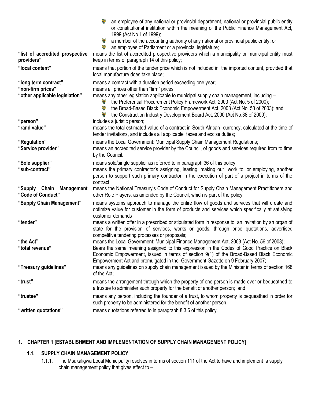| "list of accredited prospective<br>providers"                               | 1999 (Act No.1 of 1999);<br>a member of the accounting authority of any national or provincial public entity; or<br>an employee of Parliament or a provincial legislature;<br>means the list of accredited prospective providers which a municipality or municipal entity must<br>keep in terms of paragraph 14 of this policy;                                                                                                                                           |
|-----------------------------------------------------------------------------|---------------------------------------------------------------------------------------------------------------------------------------------------------------------------------------------------------------------------------------------------------------------------------------------------------------------------------------------------------------------------------------------------------------------------------------------------------------------------|
| "local content"                                                             | means that portion of the tender price which is not included in the imported content, provided that<br>local manufacture does take place;                                                                                                                                                                                                                                                                                                                                 |
| "long term contract"<br>"non-firm prices"<br>"other applicable legislation" | means a contract with a duration period exceeding one year;<br>means all prices other than "firm" prices;<br>means any other legislation applicable to municipal supply chain management, including -<br>the Preferential Procurement Policy Framework Act, 2000 (Act No. 5 of 2000);<br>S.<br><b>RAD</b><br>the Broad-Based Black Economic Empowerment Act, 2003 (Act No. 53 of 2003); and<br>the Construction Industry Development Board Act, 2000 (Act No.38 of 2000); |
| "person"<br>"rand value"                                                    | includes a juristic person;<br>means the total estimated value of a contract in South African currency, calculated at the time of<br>tender invitations, and includes all applicable taxes and excise duties;                                                                                                                                                                                                                                                             |
| "Regulation"<br>"Service provider"                                          | means the Local Government: Municipal Supply Chain Management Regulations;<br>means an accredited service provider by the Council, of goods and services required from to time<br>by the Council.                                                                                                                                                                                                                                                                         |
| "Sole supplier"<br>"sub-contract"                                           | means sole/single supplier as referred to in paragraph 36 of this policy;<br>means the primary contractor's assigning, leasing, making out work to, or employing, another<br>person to support such primary contractor in the execution of part of a project in terms of the<br>contract;                                                                                                                                                                                 |
| "Supply Chain Management<br>"Code of Conduct"                               | means the National Treasury's Code of Conduct for Supply Chain Management Practitioners and<br>other Role Players, as amended by the Council, which is part of the policy                                                                                                                                                                                                                                                                                                 |
| "Supply Chain Management"                                                   | means systems approach to manage the entire flow of goods and services that will create and<br>optimize value for customer in the form of products and services which specifically at satisfying<br>customer demands                                                                                                                                                                                                                                                      |
| "tender"                                                                    | means a written offer in a prescribed or stipulated form in response to an invitation by an organ of<br>state for the provision of services, works or goods, through price quotations, advertised<br>competitive tendering processes or proposals;                                                                                                                                                                                                                        |
| "the Act"<br>"total revenue"                                                | means the Local Government: Municipal Finance Management Act, 2003 (Act No. 56 of 2003);<br>Bears the same meaning assigned to this expression in the Codes of Good Practice on Black<br>Economic Empowerment, issued in terms of section 9(1) of the Broad-Based Black Economic<br>Empowerment Act and promulgated in the Government Gazette on 9 February 2007;                                                                                                         |
| "Treasury guidelines"                                                       | means any guidelines on supply chain management issued by the Minister in terms of section 168<br>of the Act;                                                                                                                                                                                                                                                                                                                                                             |
| "trust"                                                                     | means the arrangement through which the property of one person is made over or bequeathed to<br>a trustee to administer such property for the benefit of another person; and                                                                                                                                                                                                                                                                                              |
| "trustee"                                                                   | means any person, including the founder of a trust, to whom property is bequeathed in order for<br>such property to be administered for the benefit of another person.                                                                                                                                                                                                                                                                                                    |
| "written quotations"                                                        | means quotations referred to in paragraph 8.3.6 of this policy.                                                                                                                                                                                                                                                                                                                                                                                                           |

an employee of any national or provincial department, national or provincial public entity or constitutional institution within the meaning of the Public Finance Management Act,

## <span id="page-4-1"></span><span id="page-4-0"></span>**1. CHAPTER 1 [ESTABLISHMENT AND IMPLEMENTATION OF SUPPLY CHAIN MANAGEMENT POLICY]**

## **1.1. SUPPLY CHAIN MANAGEMENT POLICY**

1.1.1. The Msukaligwa Local Municipality resolves in terms of section 111 of the Act to have and implement a supply chain management policy that gives effect to –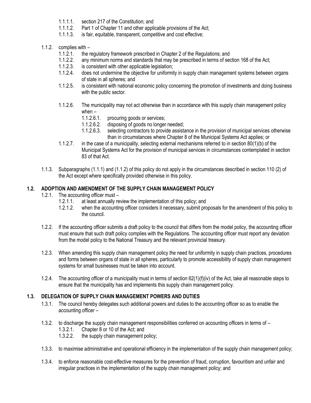- 1.1.1.1. section 217 of the Constitution; and
- 1.1.1.2. Part 1 of Chapter 11 and other applicable provisions of the Act;<br>1.1.1.3. is fair. equitable. transparent. competitive and cost effective:
- is fair, equitable, transparent, competitive and cost effective;
- 1.1.2. complies with
	- 1.1.2.1. the regulatory framework prescribed in Chapter 2 of the Regulations; and
	- 1.1.2.2. any minimum norms and standards that may be prescribed in terms of section 168 of the Act;
	- 1.1.2.3. is consistent with other applicable legislation;<br>1.1.2.4. does not undermine the objective for uniformit
	- does not undermine the objective for uniformity in supply chain management systems between organs of state in all spheres; and
	- 1.1.2.5. is consistent with national economic policy concerning the promotion of investments and doing business with the public sector.
	- 1.1.2.6. The municipality may not act otherwise than in accordance with this supply chain management policy when –<br>1.1.2.6.1.
		- procuring goods or services;
		- 1.1.2.6.2. disposing of goods no longer needed;
		- 1.1.2.6.3. selecting contractors to provide assistance in the provision of municipal services otherwise than in circumstances where Chapter 8 of the Municipal Systems Act applies; or
	- 1.1.2.7. in the case of a municipality, selecting external mechanisms referred to in section 80(1)(b) of the Municipal Systems Act for the provision of municipal services in circumstances contemplated in section 83 of that Act.
- 1.1.3. Subparagraphs (1.1.1) and (1.1.2) of this policy do not apply in the circumstances described in section 110 (2) of the Act except where specifically provided otherwise in this policy.

## <span id="page-5-0"></span>**1.2. ADOPTION AND AMENDMENT OF THE SUPPLY CHAIN MANAGEMENT POLICY**

- 1.2.1. The accounting officer must
	- 1.2.1.1. at least annually review the implementation of this policy; and
	- 1.2.1.2. when the accounting officer considers it necessary, submit proposals for the amendment of this policy to the council.
- 1.2.2. If the accounting officer submits a draft policy to the council that differs from the model policy, the accounting officer must ensure that such draft policy complies with the Regulations. The accounting officer must report any deviation from the model policy to the National Treasury and the relevant provincial treasury.
- 1.2.3. When amending this supply chain management policy the need for uniformity in supply chain practices, procedures and forms between organs of state in all spheres, particularly to promote accessibility of supply chain management systems for small businesses must be taken into account.
- 1.2.4. The accounting officer of a municipality must in terms of section  $62(1)(f)(iv)$  of the Act, take all reasonable steps to ensure that the municipality has and implements this supply chain management policy.

## <span id="page-5-1"></span>**1.3. DELEGATION OF SUPPLY CHAIN MANAGEMENT POWERS AND DUTIES**

- 1.3.1. The council hereby delegates such additional powers and duties to the accounting officer so as to enable the accounting officer –
- 1.3.2. to discharge the supply chain management responsibilities conferred on accounting officers in terms of
	- 1.3.2.1. Chapter 8 or 10 of the Act; and<br>1.3.2.2. the supply chain management p
	- the supply chain management policy;
- 1.3.3. to maximise administrative and operational efficiency in the implementation of the supply chain management policy;
- 1.3.4. to enforce reasonable cost-effective measures for the prevention of fraud, corruption, favouritism and unfair and irregular practices in the implementation of the supply chain management policy; and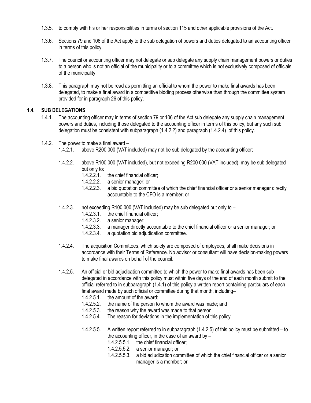- 1.3.5. to comply with his or her responsibilities in terms of section 115 and other applicable provisions of the Act.
- 1.3.6. Sections 79 and 106 of the Act apply to the sub delegation of powers and duties delegated to an accounting officer in terms of this policy.
- 1.3.7. The council or accounting officer may not delegate or sub delegate any supply chain management powers or duties to a person who is not an official of the municipality or to a committee which is not exclusively composed of officials of the municipality.
- 1.3.8. This paragraph may not be read as permitting an official to whom the power to make final awards has been delegated, to make a final award in a competitive bidding process otherwise than through the committee system provided for in paragraph 26 of this policy.

## <span id="page-6-0"></span>**1.4. SUB DELEGATIONS**

- 1.4.1. The accounting officer may in terms of section 79 or 106 of the Act sub delegate any supply chain management powers and duties, including those delegated to the accounting officer in terms of this policy, but any such sub delegation must be consistent with subparagraph (1.4.2.2) and paragraph (1.4.2.4) of this policy.
- 1.4.2. The power to make a final award
	- 1.4.2.1. above R200 000 (VAT included) may not be sub delegated by the accounting officer;
	- 1.4.2.2. above R100 000 (VAT included), but not exceeding R200 000 (VAT included), may be sub delegated but only to:
		- 1.4.2.2.1. the chief financial officer;
		- 1.4.2.2.2. a senior manager; or<br>1.4.2.2.3. a bid quotation comm
		- a bid quotation committee of which the chief financial officer or a senior manager directly accountable to the CFO is a member; or
	- 1.4.2.3. not exceeding R100 000 (VAT included) may be sub delegated but only to
		- 1.4.2.3.1. the chief financial officer;
		- 1.4.2.3.2. a senior manager;<br>1.4.2.3.3. a manager directly
		- a manager directly accountable to the chief financial officer or a senior manager; or
		- 1.4.2.3.4. a quotation bid adjudication committee.
	- 1.4.2.4. The acquisition Committees, which solely are composed of employees, shall make decisions in accordance with their Terms of Reference. No advisor or consultant will have decision-making powers to make final awards on behalf of the council.
	- 1.4.2.5. An official or bid adjudication committee to which the power to make final awards has been sub delegated in accordance with this policy must within five days of the end of each month submit to the official referred to in subparagraph (1.4.1) of this policy a written report containing particulars of each final award made by such official or committee during that month, including–
		- 1.4.2.5.1. the amount of the award;<br>1.4.2.5.2. the name of the person to
		- the name of the person to whom the award was made; and
		- 1.4.2.5.3. the reason why the award was made to that person.
		- 1.4.2.5.4. The reason for deviations in the implementation of this policy
		- 1.4.2.5.5. A written report referred to in subparagraph (1.4.2.5) of this policy must be submitted to the accounting officer, in the case of an award by  $-$ 
			- 1.4.2.5.5.1. the chief financial officer;
			- 1.4.2.5.5.2. a senior manager; or
			- 1.4.2.5.5.3. a bid adjudication committee of which the chief financial officer or a senior manager is a member; or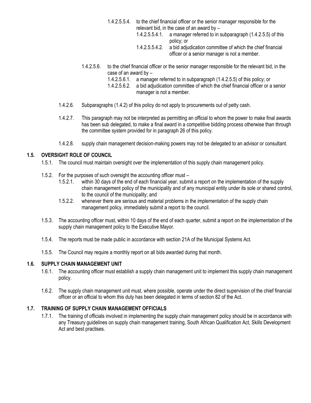- 1.4.2.5.5.4. to the chief financial officer or the senior manager responsible for the relevant bid, in the case of an award by –
	- 1.4.2.5.5.4.1. a manager referred to in subparagraph (1.4.2.5.5) of this policy; or
	- 1.4.2.5.5.4.2. a bid adjudication committee of which the chief financial officer or a senior manager is not a member.
- 1.4.2.5.6. to the chief financial officer or the senior manager responsible for the relevant bid, in the case of an award by –
	- 1.4.2.5.6.1. a manager referred to in subparagraph (1.4.2.5.5) of this policy; or
	- 1.4.2.5.6.2. a bid adjudication committee of which the chief financial officer or a senior manager is not a member.
- 1.4.2.6. Subparagraphs (1.4.2) of this policy do not apply to procurements out of petty cash.
- 1.4.2.7. This paragraph may not be interpreted as permitting an official to whom the power to make final awards has been sub delegated, to make a final award in a competitive bidding process otherwise than through the committee system provided for in paragraph 26 of this policy.
- 1.4.2.8. supply chain management decision-making powers may not be delegated to an advisor or consultant.

## <span id="page-7-0"></span>**1.5. OVERSIGHT ROLE OF COUNCIL**

- 1.5.1. The council must maintain oversight over the implementation of this supply chain management policy.
- 1.5.2. For the purposes of such oversight the accounting officer must
	- 1.5.2.1. within 30 days of the end of each financial year, submit a report on the implementation of the supply chain management policy of the municipality and of any municipal entity under its sole or shared control, to the council of the municipality; and
	- 1.5.2.2. whenever there are serious and material problems in the implementation of the supply chain management policy, immediately submit a report to the council.
- 1.5.3. The accounting officer must, within 10 days of the end of each quarter, submit a report on the implementation of the supply chain management policy to the Executive Mayor.
- 1.5.4. The reports must be made public in accordance with section 21A of the Municipal Systems Act.
- 1.5.5. The Council may require a monthly report on all bids awarded during that month.

## <span id="page-7-1"></span>**1.6. SUPPLY CHAIN MANAGEMENT UNIT**

- 1.6.1. The accounting officer must establish a supply chain management unit to implement this supply chain management policy.
- 1.6.2. The supply chain management unit must, where possible, operate under the direct supervision of the chief financial officer or an official to whom this duty has been delegated in terms of section 82 of the Act.

## <span id="page-7-2"></span>**1.7. TRAINING OF SUPPLY CHAIN MANAGEMENT OFFICIALS**

1.7.1. The training of officials involved in implementing the supply chain management policy should be in accordance with any Treasury guidelines on supply chain management training, South African Qualification Act, Skills Development Act and best practises.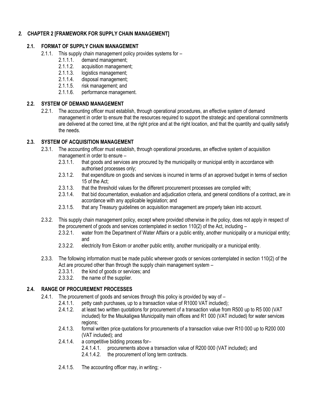## <span id="page-8-1"></span><span id="page-8-0"></span>*2.* **CHAPTER 2 [FRAMEWORK FOR SUPPLY CHAIN MANAGEMENT]**

## **2.1. FORMAT OF SUPPLY CHAIN MANAGEMENT**

- 2.1.1. This supply chain management policy provides systems for
	- 2.1.1.1. demand management;
	- 2.1.1.2. acquisition management;
	- 2.1.1.3. logistics management;
	- 2.1.1.4. disposal management;
	- 2.1.1.5. risk management; and
	- 2.1.1.6. performance management.

## <span id="page-8-2"></span>**2.2. SYSTEM OF DEMAND MANAGEMENT**

2.2.1. The accounting officer must establish, through operational procedures, an effective system of demand management in order to ensure that the resources required to support the strategic and operational commitments are delivered at the correct time, at the right price and at the right location, and that the quantity and quality satisfy the needs.

## <span id="page-8-3"></span>**2.3. SYSTEM OF ACQUISITION MANAGEMENT**

- 2.3.1. The accounting officer must establish, through operational procedures, an effective system of acquisition management in order to ensure –
	- 2.3.1.1. that goods and services are procured by the municipality or municipal entity in accordance with authorised processes only;
	- 2.3.1.2. that expenditure on goods and services is incurred in terms of an approved budget in terms of section 15 of the Act;
	- 2.3.1.3. that the threshold values for the different procurement processes are complied with;
	- 2.3.1.4. that bid documentation, evaluation and adjudication criteria, and general conditions of a contract, are in accordance with any applicable legislation; and
	- 2.3.1.5. that any Treasury guidelines on acquisition management are properly taken into account.
- 2.3.2. This supply chain management policy, except where provided otherwise in the policy, does not apply in respect of the procurement of goods and services contemplated in section 110(2) of the Act, including –
	- 2.3.2.1. water from the Department of Water Affairs or a public entity, another municipality or a municipal entity; and
	- 2.3.2.2. electricity from Eskom or another public entity, another municipality or a municipal entity.
- 2.3.3. The following information must be made public wherever goods or services contemplated in section 110(2) of the Act are procured other than through the supply chain management system –
	- 2.3.3.1. the kind of goods or services; and
	- 2.3.3.2. the name of the supplier.

## <span id="page-8-4"></span>**2.4. RANGE OF PROCUREMENT PROCESSES**

- 2.4.1. The procurement of goods and services through this policy is provided by way of
	- 2.4.1.1. petty cash purchases, up to a transaction value of R1000 VAT included);
	- 2.4.1.2. at least two written quotations for procurement of a transaction value from R500 up to R5 000 (VAT included) for the Msukaligwa Municipality main offices and R1 000 (VAT included) for water services regions;
	- 2.4.1.3. formal written price quotations for procurements of a transaction value over R10 000 up to R200 000 (VAT included); and
	- 2.4.1.4. a competitive bidding process for–
		- 2.4.1.4.1. procurements above a transaction value of R200 000 (VAT included); and
		- 2.4.1.4.2. the procurement of long term contracts.
	- 2.4.1.5. The accounting officer may, in writing; -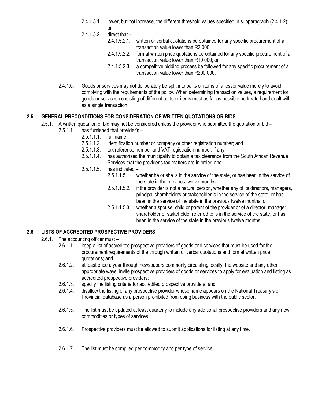- 2.4.1.5.1. lower, but not increase, the different threshold values specified in subparagraph (2.4.1.2); or
- 2.4.1.5.2. direct that
	- 2.4.1.5.2.1. written or verbal quotations be obtained for any specific procurement of a transaction value lower than R2 000;
	- 2.4.1.5.2.2. formal written price quotations be obtained for any specific procurement of a transaction value lower than R10 000; or
	- 2.4.1.5.2.3. a competitive bidding process be followed for any specific procurement of a transaction value lower than R200 000.
- 2.4.1.6. Goods or services may not deliberately be split into parts or items of a lesser value merely to avoid complying with the requirements of the policy. When determining transaction values, a requirement for goods or services consisting of different parts or items must as far as possible be treated and dealt with as a single transaction.

## <span id="page-9-0"></span>**2.5. GENERAL PRECONDITIONS FOR CONSIDERATION OF WRITTEN QUOTATIONS OR BIDS**

- 2.5.1. A written quotation or bid may not be considered unless the provider who submitted the quotation or bid
	- 2.5.1.1. has furnished that provider's
		- 2.5.1.1.1. full name;<br>2.5.1.1.2. identification
		- identification number or company or other registration number; and
		- 2.5.1.1.3. tax reference number and VAT registration number, if any;
		- 2.5.1.1.4. has authorised the municipality to obtain a tax clearance from the South African Revenue Services that the provider's tax matters are in order; and
		- 2.5.1.1.5. has indicated
			- 2.5.1.1.5.1. whether he or she is in the service of the state, or has been in the service of the state in the previous twelve months;
			- 2.5.1.1.5.2. if the provider is not a natural person, whether any of its directors, managers, principal shareholders or stakeholder is in the service of the state, or has been in the service of the state in the previous twelve months; or
			- 2.5.1.1.5.3. whether a spouse, child or parent of the provider or of a director, manager, shareholder or stakeholder referred to is in the service of the state, or has been in the service of the state in the previous twelve months.

## <span id="page-9-1"></span>**2.6. LISTS OF ACCREDITED PROSPECTIVE PROVIDERS**

- 2.6.1. The accounting officer must
	- 2.6.1.1. keep a list of accredited prospective providers of goods and services that must be used for the procurement requirements of the through written or verbal quotations and formal written price quotations; and
	- 2.6.1.2. at least once a year through newspapers commonly circulating locally, the website and any other appropriate ways, invite prospective providers of goods or services to apply for evaluation and listing as accredited prospective providers;
	- 2.6.1.3. specify the listing criteria for accredited prospective providers; and
	- 2.6.1.4. disallow the listing of any prospective provider whose name appears on the National Treasury's or Provincial database as a person prohibited from doing business with the public sector.
	- 2.6.1.5. The list must be updated at least quarterly to include any additional prospective providers and any new commodities or types of services.
	- 2.6.1.6. Prospective providers must be allowed to submit applications for listing at any time.
	- 2.6.1.7. The list must be compiled per commodity and per type of service.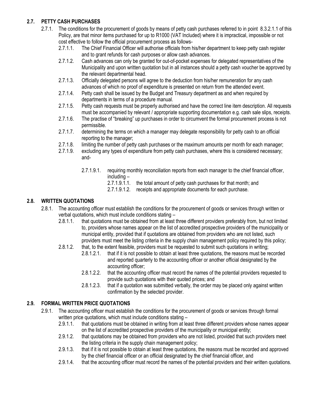## <span id="page-10-0"></span>**2.7. PETTY CASH PURCHASES**

- 2.7.1. The conditions for the procurement of goods by means of petty cash purchases referred to in point 8.3.2.1.1 of this Policy, are that minor items purchased for up to R1000 (VAT Included) where it is impractical, impossible or not cost effective to follow the official procurement process as follows-
	- 2.7.1.1. The Chief Financial Officer will authorise officials from his/her department to keep petty cash register and to grant refunds for cash purposes or allow cash advances.
	- 2.7.1.2. Cash advances can only be granted for out-of-pocket expenses for delegated representatives of the Municipality and upon written quotation but in all instances should a petty cash voucher be approved by the relevant departmental head.
	- 2.7.1.3. Officially delegated persons will agree to the deduction from his/her remuneration for any cash advances of which no proof of expenditure is presented on return from the attended event.
	- 2.7.1.4. Petty cash shall be issued by the Budget and Treasury department as and when required by departments in terms of a procedure manual.
	- 2.7.1.5. Petty cash requests must be properly authorised and have the correct line item description. All requests must be accompanied by relevant / appropriate supporting documentation e.g. cash sale slips, receipts.
	- 2.7.1.6. The practise of "breaking" up purchases in order to circumvent the formal procurement process is not permissible.
	- 2.7.1.7. determining the terms on which a manager may delegate responsibility for petty cash to an official reporting to the manager;
	- 2.7.1.8. limiting the number of petty cash purchases or the maximum amounts per month for each manager;
	- 2.7.1.9. excluding any types of expenditure from petty cash purchases, where this is considered necessary; and-
		- 2.7.1.9.1. requiring monthly reconciliation reports from each manager to the chief financial officer, including –
			- 2.7.1.9.1.1. the total amount of petty cash purchases for that month; and
			- 2.7.1.9.1.2. receipts and appropriate documents for each purchase.

## <span id="page-10-1"></span>**2.8. WRITTEN QUOTATIONS**

- 2.8.1. The accounting officer must establish the conditions for the procurement of goods or services through written or verbal quotations, which must include conditions stating –
	- 2.8.1.1. that quotations must be obtained from at least three different providers preferably from, but not limited to, providers whose names appear on the list of accredited prospective providers of the municipality or municipal entity, provided that if quotations are obtained from providers who are not listed, such providers must meet the listing criteria in the supply chain management policy required by this policy;
	- 2.8.1.2. that, to the extent feasible, providers must be requested to submit such quotations in writing;
		- 2.8.1.2.1. that if it is not possible to obtain at least three quotations, the reasons must be recorded and reported quarterly to the accounting officer or another official designated by the accounting officer;
		- 2.8.1.2.2. that the accounting officer must record the names of the potential providers requested to provide such quotations with their quoted prices; and
		- 2.8.1.2.3. that if a quotation was submitted verbally, the order may be placed only against written confirmation by the selected provider.

## <span id="page-10-2"></span>**2.9. FORMAL WRITTEN PRICE QUOTATIONS**

- 2.9.1. The accounting officer must establish the conditions for the procurement of goods or services through formal written price quotations, which must include conditions stating –
	- 2.9.1.1. that quotations must be obtained in writing from at least three different providers whose names appear on the list of accredited prospective providers of the municipality or municipal entity;
	- 2.9.1.2. that quotations may be obtained from providers who are not listed, provided that such providers meet the listing criteria in the supply chain management policy;
	- 2.9.1.3. that if it is not possible to obtain at least three quotations, the reasons must be recorded and approved by the chief financial officer or an official designated by the chief financial officer, and
	- 2.9.1.4. that the accounting officer must record the names of the potential providers and their written quotations.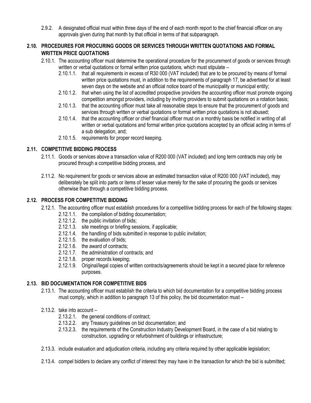2.9.2. A designated official must within three days of the end of each month report to the chief financial officer on any approvals given during that month by that official in terms of that subparagraph.

## <span id="page-11-0"></span>**2.10. PROCEDURES FOR PROCURING GOODS OR SERVICES THROUGH WRITTEN QUOTATIONS AND FORMAL WRITTEN PRICE QUOTATIONS**

- 2.10.1. The accounting officer must determine the operational procedure for the procurement of goods or services through written or verbal quotations or formal written price quotations, which must stipulate –
	- 2.10.1.1. that all requirements in excess of R30 000 (VAT included) that are to be procured by means of formal written price quotations must, in addition to the requirements of paragraph 17, be advertised for at least seven days on the website and an official notice board of the municipality or municipal entity;
	- 2.10.1.2. that when using the list of accredited prospective providers the accounting officer must promote ongoing competition amongst providers, including by inviting providers to submit quotations on a rotation basis;
	- 2.10.1.3. that the accounting officer must take all reasonable steps to ensure that the procurement of goods and services through written or verbal quotations or formal written price quotations is not abused;
	- 2.10.1.4. that the accounting officer or chief financial officer must on a monthly basis be notified in writing of all written or verbal quotations and formal written price quotations accepted by an official acting in terms of a sub delegation, and;
	- 2.10.1.5. requirements for proper record keeping.

## <span id="page-11-1"></span>**2.11. COMPETITIVE BIDDING PROCESS**

- 2.11.1. Goods or services above a transaction value of R200 000 (VAT included) and long term contracts may only be procured through a competitive bidding process, and
- 2.11.2. No requirement for goods or services above an estimated transaction value of R200 000 (VAT included), may deliberately be split into parts or items of lesser value merely for the sake of procuring the goods or services otherwise than through a competitive bidding process.

## <span id="page-11-2"></span>**2.12. PROCESS FOR COMPETITIVE BIDDING**

- 2.12.1. The accounting officer must establish procedures for a competitive bidding process for each of the following stages:
	- 2.12.1.1. the compilation of bidding documentation;
	- 2.12.1.2. the public invitation of bids;
	- 2.12.1.3. site meetings or briefing sessions, if applicable;
	- 2.12.1.4. the handling of bids submitted in response to public invitation;
	- 2.12.1.5. the evaluation of bids;
	- 2.12.1.6. the award of contracts;
	- 2.12.1.7. the administration of contracts; and
	- 2.12.1.8. proper records keeping;
	- 2.12.1.9. Original/legal copies of written contracts/agreements should be kept in a secured place for reference purposes.

## <span id="page-11-3"></span>**2.13. BID DOCUMENTATION FOR COMPETITIVE BIDS**

2.13.1. The accounting officer must establish the criteria to which bid documentation for a competitive bidding process must comply, which in addition to paragraph 13 of this policy, the bid documentation must –

## 2.13.2. take into account –

- 2.13.2.1. the general conditions of contract;
- 2.13.2.2. any Treasury guidelines on bid documentation; and
- 2.13.2.3. the requirements of the Construction Industry Development Board, in the case of a bid relating to construction, upgrading or refurbishment of buildings or infrastructure;
- 2.13.3. include evaluation and adjudication criteria, including any criteria required by other applicable legislation;
- 2.13.4. compel bidders to declare any conflict of interest they may have in the transaction for which the bid is submitted;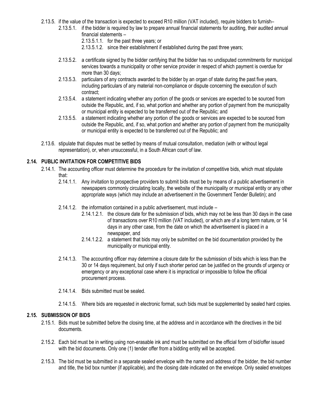- 2.13.5. if the value of the transaction is expected to exceed R10 million (VAT included), require bidders to furnish–
	- 2.13.5.1. if the bidder is required by law to prepare annual financial statements for auditing, their audited annual financial statements –
		- 2.13.5.1.1. for the past three years; or
		- 2.13.5.1.2. since their establishment if established during the past three years;
	- 2.13.5.2. a certificate signed by the bidder certifying that the bidder has no undisputed commitments for municipal services towards a municipality or other service provider in respect of which payment is overdue for more than 30 days;
	- 2.13.5.3. particulars of any contracts awarded to the bidder by an organ of state during the past five years, including particulars of any material non-compliance or dispute concerning the execution of such contract;
	- 2.13.5.4. a statement indicating whether any portion of the goods or services are expected to be sourced from outside the Republic, and, if so, what portion and whether any portion of payment from the municipality or municipal entity is expected to be transferred out of the Republic; and
	- 2.13.5.5. a statement indicating whether any portion of the goods or services are expected to be sourced from outside the Republic, and, if so, what portion and whether any portion of payment from the municipality or municipal entity is expected to be transferred out of the Republic; and
- 2.13.6. stipulate that disputes must be settled by means of mutual consultation, mediation (with or without legal representation), or, when unsuccessful, in a South African court of law.

## <span id="page-12-0"></span>**2.14. PUBLIC INVITATION FOR COMPETITIVE BIDS**

- 2.14.1. The accounting officer must determine the procedure for the invitation of competitive bids, which must stipulate that:
	- 2.14.1.1. Any invitation to prospective providers to submit bids must be by means of a public advertisement in newspapers commonly circulating locally, the website of the municipality or municipal entity or any other appropriate ways (which may include an advertisement in the Government Tender Bulletin); and
	- 2.14.1.2. the information contained in a public advertisement, must include
		- 2.14.1.2.1. the closure date for the submission of bids, which may not be less than 30 days in the case of transactions over R10 million (VAT included), or which are of a long term nature, or 14 days in any other case, from the date on which the advertisement is placed in a newspaper, and
		- 2.14.1.2.2. a statement that bids may only be submitted on the bid documentation provided by the municipality or municipal entity.
	- 2.14.1.3. The accounting officer may determine a closure date for the submission of bids which is less than the 30 or 14 days requirement, but only if such shorter period can be justified on the grounds of urgency or emergency or any exceptional case where it is impractical or impossible to follow the official procurement process.
	- 2.14.1.4. Bids submitted must be sealed.
	- 2.14.1.5. Where bids are requested in electronic format, such bids must be supplemented by sealed hard copies.

#### <span id="page-12-1"></span>**2.15. SUBMISSION OF BIDS**

- 2.15.1. Bids must be submitted before the closing time, at the address and in accordance with the directives in the bid documents.
- 2.15.2. Each bid must be in writing using non-erasable ink and must be submitted on the official form of bid/offer issued with the bid documents. Only one (1) tender offer from a bidding entity will be accepted.
- 2.15.3. The bid must be submitted in a separate sealed envelope with the name and address of the bidder, the bid number and title, the bid box number (if applicable), and the closing date indicated on the envelope. Only sealed envelopes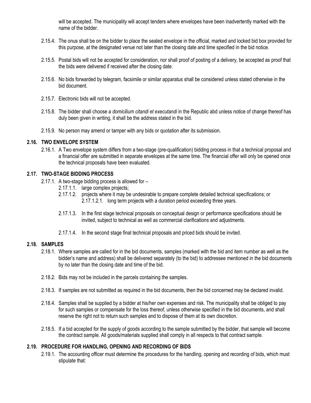will be accepted. The municipality will accept tenders where envelopes have been inadvertently marked with the name of the bidder.

- 2.15.4. The onus shall be on the bidder to place the sealed envelope in the official, marked and locked bid box provided for this purpose, at the designated venue not later than the closing date and time specified in the bid notice.
- 2.15.5. Postal bids will not be accepted for consideration, nor shall proof of posting of a delivery, be accepted as proof that the bids were delivered if received after the closing date.
- 2.15.6. No bids forwarded by telegram, facsimile or similar apparatus shall be considered unless stated otherwise in the bid document.
- 2.15.7. Electronic bids will not be accepted.
- 2.15.8. The bidder shall choose a *domicilium citandi et executandi* in the Republic abd unless notice of change thereof has duly been given in writing, it shall be the address stated in the bid.
- 2.15.9. No person may amend or tamper with any bids or quotation after its submission.

#### <span id="page-13-0"></span>**2.16. TWO ENVELOPE SYSTEM**

2.16.1. A Two envelope system differs from a two-stage (pre-qualification) bidding process in that a technical proposal and a financial offer are submitted in separate envelopes at the same time. The financial offer will only be opened once the technical proposals have been evaluated.

## <span id="page-13-1"></span>**2.17. TWO-STAGE BIDDING PROCESS**

- 2.17.1. A two-stage bidding process is allowed for
	- 2.17.1.1. large complex projects;
	- 2.17.1.2. projects where it may be undesirable to prepare complete detailed technical specifications; or 2.17.1.2.1. long term projects with a duration period exceeding three years.
	- 2.17.1.3. In the first stage technical proposals on conceptual design or performance specifications should be invited, subject to technical as well as commercial clarifications and adjustments.
	- 2.17.1.4. In the second stage final technical proposals and priced bids should be invited.

#### <span id="page-13-2"></span>**2.18. SAMPLES**

- 2.18.1. Where samples are called for in the bid documents, samples (marked with the bid and item number as well as the bidder's name and address) shall be delivered separately (to the bid) to addressee mentioned in the bid documents by no later than the closing date and time of the bid.
- 2.18.2. Bids may not be included in the parcels containing the samples.
- 2.18.3. If samples are not submitted as required in the bid documents, then the bid concerned may be declared invalid.
- 2.18.4. Samples shall be supplied by a bidder at his/her own expenses and risk. The municipality shall be obliged to pay for such samples or compensate for the loss thereof, unless otherwise specified in the bid documents, and shall reserve the right not to return such samples and to dispose of them at its own discretion.
- 2.18.5. If a bid accepted for the supply of goods according to the sample submitted by the bidder, that sample will become the contract sample. All goods/materials supplied shall comply in all respects to that contract sample.

#### <span id="page-13-3"></span>**2.19. PROCEDURE FOR HANDLING, OPENING AND RECORDING OF BIDS**

2.19.1. The accounting officer must determine the procedures for the handling, opening and recording of bids, which must stipulate that: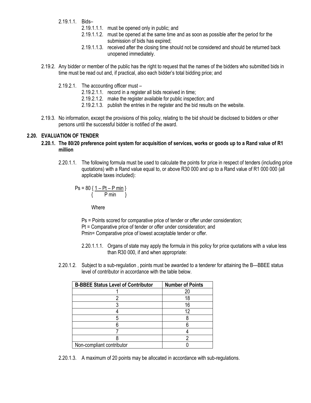- 2.19.1.1. Bids–
	- 2.19.1.1.1. must be opened only in public; and
	- 2.19.1.1.2. must be opened at the same time and as soon as possible after the period for the submission of bids has expired;
	- 2.19.1.1.3. received after the closing time should not be considered and should be returned back unopened immediately.
- 2.19.2. Any bidder or member of the public has the right to request that the names of the bidders who submitted bids in time must be read out and, if practical, also each bidder's total bidding price; and
	- 2.19.2.1. The accounting officer must
		- 2.19.2.1.1. record in a register all bids received in time;
		- 2.19.2.1.2. make the register available for public inspection; and
		- 2.19.2.1.3. publish the entries in the register and the bid results on the website.
- 2.19.3. No information, except the provisions of this policy, relating to the bid should be disclosed to bidders or other persons until the successful bidder is notified of the award.

## <span id="page-14-0"></span>**2.20. EVALUATION OF TENDER**

- **2.20.1. The 80/20 preference point system for acquisition of services, works or goods up to a Rand value of R1 million**
	- 2.20.1.1. The following formula must be used to calculate the points for price in respect of tenders (including price quotations) with a Rand value equal to, or above R30 000 and up to a Rand value of R1 000 000 (all applicable taxes included):

$$
Ps = 80 \{ \frac{1 - Pt - P \text{ min}}{P \text{ min}} \}
$$

Where

- Ps = Points scored for comparative price of tender or offer under consideration; Pt = Comparative price of tender or offer under consideration; and Pmin= Comparative price of lowest acceptable tender or offer.
- 2.20.1.1.1. Organs of state may apply the formula in this policy for price quotations with a value less than R30 000, if and when appropriate:
- 2.20.1.2. Subject to a sub-regulation , points must be awarded to a tenderer for attaining the B—BBEE status level of contributor in accordance with the table below.

| <b>B-BBEE Status Level of Contributor</b> | <b>Number of Points</b> |
|-------------------------------------------|-------------------------|
|                                           |                         |
|                                           | 18                      |
|                                           | 16                      |
|                                           | 12                      |
|                                           |                         |
|                                           |                         |
|                                           |                         |
|                                           |                         |
| Non-compliant contributor                 |                         |

2.20.1.3. A maximum of 20 points may be allocated in accordance with sub-regulations.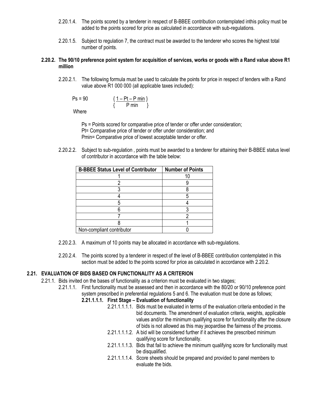- 2.20.1.4. The points scored by a tenderer in respect of B-BBEE contribution contemplated inthis policy must be added to the points scored for price as calculated in accordance with sub-regulations.
- 2.20.1.5. Subject to regulation 7, the contract must be awarded to the tenderer who scores the highest total number of points.

#### **2.20.2. The 90/10 preference point system for acquisition of services, works or goods with a Rand value above R1 million**

2.20.2.1. The following formula must be used to calculate the points for price in respect of tenders with a Rand value above R1 000 000 (all applicable taxes included):

$$
Ps = 90 \qquad \qquad \frac{1 - Pt - P \text{ min}}{\{P \text{ min }\}}
$$

**Where** 

Ps = Points scored for comparative price of tender or offer under consideration; Pt= Comparative price of tender or offer under consideration; and Pmin= Comparative price of lowest acceptable tender or offer.

2.20.2.2. Subject to sub-regulation , points must be awarded to a tenderer for attaining their B-BBEE status level of contributor in accordance with the table below:

| <b>B-BBEE Status Level of Contributor</b> | <b>Number of Points</b> |
|-------------------------------------------|-------------------------|
|                                           |                         |
|                                           |                         |
|                                           |                         |
|                                           |                         |
|                                           |                         |
|                                           |                         |
|                                           |                         |
|                                           |                         |
| Non-compliant contributor                 |                         |

- 2.20.2.3. A maximum of 10 points may be allocated in accordance with sub-regulations.
- 2.20.2.4. The points scored by a tenderer in respect of the level of B-BBEE contribution contemplated in this section must be added to the points scored for price as calculated in accordance with 2.20.2.

#### <span id="page-15-0"></span>**2.21. EVALUATION OF BIDS BASED ON FUNCTIONALITY AS A CRITERION**

- 2.21.1. Bids invited on the bases of functionality as a criterion must be evaluated in two stages;
	- 2.21.1.1. First functionality must be assessed and then in accordance with the 80/20 or 90/10 preference point system prescribed in preferential regulations 5 and 6. The evaluation must be done as follows;

#### **2.21.1.1.1. First Stage – Evaluation of functionality**

- 2.21.1.1.1.1. Bids must be evaluated in terms of the evaluation criteria embodied in the bid documents. The amendment of evaluation criteria, weights, applicable values and/or the minimum qualifying score for functionality after the closure of bids is not allowed as this may jeopardise the fairness of the process.
- 2.21.1.1.1.2. A bid will be considered further if it achieves the prescribed minimum qualifying score for functionality.
- 2.21.1.1.1.3. Bids that fail to achieve the minimum qualifying score for functionality must be disqualified.
- 2.21.1.1.1.4. Score sheets should be prepared and provided to panel members to evaluate the bids.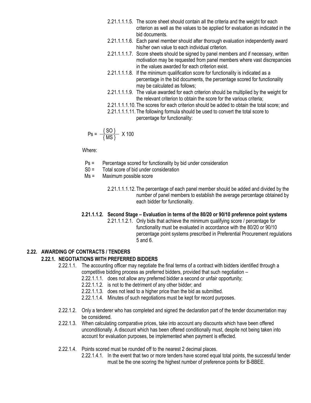- 2.21.1.1.1.5. The score sheet should contain all the criteria and the weight for each criterion as well as the values to be applied for evaluation as indicated in the bid documents.
- 2.21.1.1.1.6. Each panel member should after thorough evaluation independently award his/her own value to each individual criterion.
- 2.21.1.1.1.7. Score sheets should be signed by panel members and if necessary, written motivation may be requested from panel members where vast discrepancies in the values awarded for each criterion exist.
- 2.21.1.1.1.8. If the minimum qualification score for functionality is indicated as a percentage in the bid documents, the percentage scored for functionality may be calculated as follows;
- 2.21.1.1.1.9. The value awarded for each criterion should be multiplied by the weight for the relevant criterion to obtain the score for the various criteria;
- 2.21.1.1.1.10.The scores for each criterion should be added to obtain the total score; and
- 2.21.1.1.1.11.The following formula should be used to convert the total score to percentage for functionality:

$$
Ps = \frac{\{SO\}}{\{MS\}} \times 100
$$

Where:

- Ps = Percentage scored for functionality by bid under consideration
- S0 = Total score of bid under consideration
- Ms = Maximum possible score
	- 2.21.1.1.1.12.The percentage of each panel member should be added and divided by the number of panel members to establish the average percentage obtained by each bidder for functionality.

## **2.21.1.1.2. Second Stage – Evaluation in terms of the 80/20 or 90/10 preference point systems**

2.21.1.1.2.1. Only bids that achieve the minimum qualifying score / percentage for functionality must be evaluated in accordance with the 80/20 or 90/10 percentage point systems prescribed in Preferential Procurement regulations 5 and 6.

## <span id="page-16-0"></span>**2.22. AWARDING OF CONTRACTS / TENDERS**

## **2.22.1. NEGOTIATIONS WITH PREFERRED BIDDERS**

2.22.1.1. The accounting officer may negotiate the final terms of a contract with bidders identified through a competitive bidding process as preferred bidders, provided that such negotiation –

- 2.22.1.1.1. does not allow any preferred bidder a second or unfair opportunity;
- 2.22.1.1.2. is not to the detriment of any other bidder; and
- 2.22.1.1.3. does not lead to a higher price than the bid as submitted.
- 2.22.1.1.4. Minutes of such negotiations must be kept for record purposes.
- 2.22.1.2. Only a tenderer who has completed and signed the declaration part of the tender documentation may be considered.
- 2.22.1.3. When calculating comparative prices, take into account any discounts which have been offered unconditionally. A discount which has been offered conditionally must, despite not being taken into account for evaluation purposes, be implemented when payment is effected.
- 2.22.1.4. Points scored must be rounded off to the nearest 2 decimal places.
	- 2.22.1.4.1. In the event that two or more tenders have scored equal total points, the successful tender must be the one scoring the highest number of preference points for B-BBEE.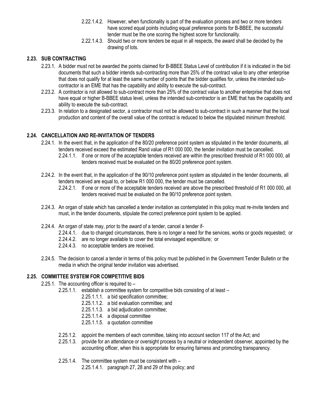- 2.22.1.4.2. However, when functionality is part of the evaluation process and two or more tenders have scored equal points including equal preference points for B-BBEE, the successful tender must be the one scoring the highest score for functionality.
- 2.22.1.4.3. Should two or more tenders be equal in all respects, the award shall be decided by the drawing of lots.

## <span id="page-17-0"></span>**2.23. SUB CONTRACTING**

- 2.23.1. A bidder must not be awarded the points claimed for B-BBEE Status Level of contribution if it is indicated in the bid documents that such a bidder intends sub-contracting more than 25% of the contract value to any other enterprise that does not qualify for at least the same number of points that the bidder qualifies for, unless the intended subcontractor is an EME that has the capability and ability to execute the sub-contract.
- 2.23.2. A contractor is not allowed to sub-contract more than 25% of the contract value to another enterprise that does not have equal or higher B-BBEE status level, unless the intended sub-contractor is an EME that has the capability and ability to execute the sub-contract.
- 2.23.3. In relation to a designated sector, a contractor must not be allowed to sub-contract in such a manner that the local production and content of the overall value of the contract is reduced to below the stipulated minimum threshold.

## <span id="page-17-1"></span>**2.24. CANCELLATION AND RE-INVITATION OF TENDERS**

- 2.24.1. In the event that, in the application of the 80/20 preference point system as stipulated in the tender documents, all tenders received exceed the estimated Rand value of R1 000 000, the tender invitation must be cancelled.
	- 2.24.1.1. If one or more of the acceptable tenders received are within the prescribed threshold of R1 000 000, all tenders received must be evaluated on the 80/20 preference point system.
- 2.24.2. In the event that, in the application of the 90/10 preference point system as stipulated in the tender documents, all tenders received are equal to, or below R1 000 000, the tender must be cancelled.
	- 2.24.2.1. If one or more of the acceptable tenders received are above the prescribed threshold of R1 000 000, all tenders received must be evaluated on the 90/10 preference point system.
- 2.24.3. An organ of state which has cancelled a tender invitation as contemplated in this policy must re-invite tenders and must, in the tender documents, stipulate the correct preference point system to be applied.
- 2.24.4. An organ of state may, prior to the award of a tender, cancel a tender if-
	- 2.24.4.1. due to changed circumstances, there is no longer a need for the services, works or goods requested; or
	- 2.24.4.2. are no longer available to cover the total envisaged expenditure; or
	- 2.24.4.3. no acceptable tenders are received.
- 2.24.5. The decision to cancel a tender in terms of this policy must be published in the Government Tender Bulletin or the media in which the original tender invitation was advertised.

## <span id="page-17-2"></span>**2.25. COMMITTEE SYSTEM FOR COMPETITIVE BIDS**

- 2.25.1. The accounting officer is required to
	- 2.25.1.1. establish a committee system for competitive bids consisting of at least
		- 2.25.1.1.1. a bid specification committee;
		- 2.25.1.1.2. a bid evaluation committee; and
		- 2.25.1.1.3. a bid adjudication committee;
		- 2.25.1.1.4. a disposal committee
		- 2.25.1.1.5. a quotation committee
	- 2.25.1.2. appoint the members of each committee, taking into account section 117 of the Act; and
	- 2.25.1.3. provide for an attendance or oversight process by a neutral or independent observer, appointed by the accounting officer, when this is appropriate for ensuring fairness and promoting transparency.
	- 2.25.1.4. The committee system must be consistent with
		- 2.25.1.4.1. paragraph 27, 28 and 29 of this policy; and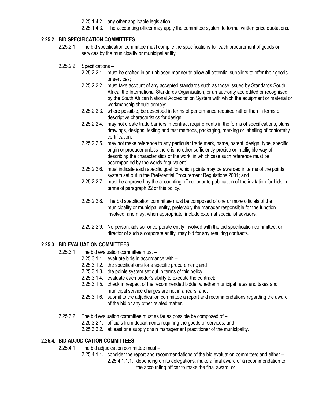2.25.1.4.2. any other applicable legislation.

2.25.1.4.3. The accounting officer may apply the committee system to formal written price quotations.

## <span id="page-18-0"></span>**2.25.2. BID SPECIFICATION COMMITTEES**

- 2.25.2.1. The bid specification committee must compile the specifications for each procurement of goods or services by the municipality or municipal entity.
- 2.25.2.2. Specifications
	- 2.25.2.2.1. must be drafted in an unbiased manner to allow all potential suppliers to offer their goods or services;
	- 2.25.2.2.2. must take account of any accepted standards such as those issued by Standards South Africa, the International Standards Organisation, or an authority accredited or recognised by the South African National Accreditation System with which the equipment or material or workmanship should comply;
	- 2.25.2.2.3. where possible, be described in terms of performance required rather than in terms of descriptive characteristics for design;
	- 2.25.2.2.4. may not create trade barriers in contract requirements in the forms of specifications, plans, drawings, designs, testing and test methods, packaging, marking or labelling of conformity certification;
	- 2.25.2.2.5. may not make reference to any particular trade mark, name, patent, design, type, specific origin or producer unless there is no other sufficiently precise or intelligible way of describing the characteristics of the work, in which case such reference must be accompanied by the words "equivalent";
	- 2.25.2.2.6. must indicate each specific goal for which points may be awarded in terms of the points system set out in the Preferential Procurement Regulations 2001; and
	- 2.25.2.2.7. must be approved by the accounting officer prior to publication of the invitation for bids in terms of paragraph 22 of this policy.
	- 2.25.2.2.8. The bid specification committee must be composed of one or more officials of the municipality or municipal entity, preferably the manager responsible for the function involved, and may, when appropriate, include external specialist advisors.
	- 2.25.2.2.9. No person, advisor or corporate entity involved with the bid specification committee, or director of such a corporate entity, may bid for any resulting contracts.

## <span id="page-18-1"></span>**2.25.3. BID EVALUATION COMMITTEES**

- 2.25.3.1. The bid evaluation committee must
	- 2.25.3.1.1. evaluate bids in accordance with –
	- 2.25.3.1.2. the specifications for a specific procurement; and
	- 2.25.3.1.3. the points system set out in terms of this policy;
	- 2.25.3.1.4. evaluate each bidder's ability to execute the contract;
	- 2.25.3.1.5. check in respect of the recommended bidder whether municipal rates and taxes and municipal service charges are not in arrears, and;
	- 2.25.3.1.6. submit to the adjudication committee a report and recommendations regarding the award of the bid or any other related matter.
- 2.25.3.2. The bid evaluation committee must as far as possible be composed of
	- 2.25.3.2.1. officials from departments requiring the goods or services; and
	- 2.25.3.2.2. at least one supply chain management practitioner of the municipality.

## <span id="page-18-2"></span>**2.25.4. BID ADJUDICATION COMMITTEES**

- 2.25.4.1. The bid adjudication committee must
	- 2.25.4.1.1. consider the report and recommendations of the bid evaluation committee; and either
		- 2.25.4.1.1.1. depending on its delegations, make a final award or a recommendation to the accounting officer to make the final award; or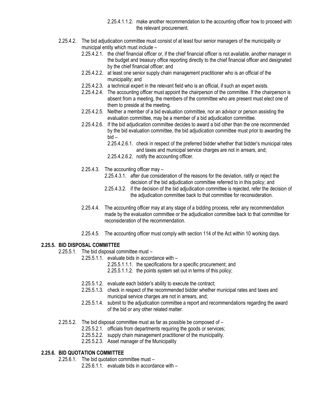- 2.25.4.1.1.2. make another recommendation to the accounting officer how to proceed with the relevant procurement.
- 2.25.4.2. The bid adjudication committee must consist of at least four senior managers of the municipality or municipal entity which must include –
	- 2.25.4.2.1. the chief financial officer or, if the chief financial officer is not available, another manager in the budget and treasury office reporting directly to the chief financial officer and designated by the chief financial officer; and
	- 2.25.4.2.2. at least one senior supply chain management practitioner who is an official of the municipality; and
	- 2.25.4.2.3. a technical expert in the relevant field who is an official, if such an expert exists.
	- 2.25.4.2.4. The accounting officer must appoint the chairperson of the committee. If the chairperson is absent from a meeting, the members of the committee who are present must elect one of them to preside at the meeting.
	- 2.25.4.2.5. Neither a member of a bid evaluation committee, nor an advisor or person assisting the evaluation committee, may be a member of a bid adjudication committee.
	- 2.25.4.2.6. If the bid adjudication committee decides to award a bid other than the one recommended by the bid evaluation committee, the bid adjudication committee must prior to awarding the bid –
		- 2.25.4.2.6.1. check in respect of the preferred bidder whether that bidder's municipal rates and taxes and municipal service charges are not in arrears, and;
		- 2.25.4.2.6.2. notify the accounting officer.
	- 2.25.4.3. The accounting officer may
		- 2.25.4.3.1. after due consideration of the reasons for the deviation, ratify or reject the decision of the bid adjudication committee referred to in this policy; and
		- 2.25.4.3.2. if the decision of the bid adjudication committee is rejected, refer the decision of the adjudication committee back to that committee for reconsideration.
	- 2.25.4.4. The accounting officer may at any stage of a bidding process, refer any recommendation made by the evaluation committee or the adjudication committee back to that committee for reconsideration of the recommendation.
	- 2.25.4.5. The accounting officer must comply with section 114 of the Act within 10 working days.

#### <span id="page-19-0"></span>**2.25.5. BID DISPOSAL COMMITTEE**

- 2.25.5.1. The bid disposal committee must
	- 2.25.5.1.1. evaluate bids in accordance with
		- 2.25.5.1.1.1. the specifications for a specific procurement; and

2.25.5.1.1.2. the points system set out in terms of this policy;

- 2.25.5.1.2. evaluate each bidder's ability to execute the contract;
- 2.25.5.1.3. check in respect of the recommended bidder whether municipal rates and taxes and municipal service charges are not in arrears, and;
- 2.25.5.1.4. submit to the adjudication committee a report and recommendations regarding the award of the bid or any other related matter.
- 2.25.5.2. The bid disposal committee must as far as possible be composed of
	- 2.25.5.2.1. officials from departments requiring the goods or services;
	- 2.25.5.2.2. supply chain management practitioner of the municipality.
	- 2.25.5.2.3. Asset manager of the Municipality

### <span id="page-19-1"></span>**2.25.6. BID QUOTATION COMMITTEE**

2.25.6.1. The bid quotation committee must –

2.25.6.1.1. evaluate bids in accordance with –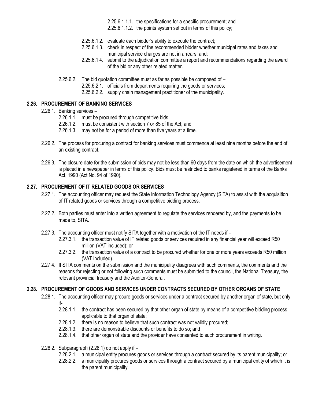2.25.6.1.1.1. the specifications for a specific procurement; and 2.25.6.1.1.2. the points system set out in terms of this policy;

- 2.25.6.1.2. evaluate each bidder's ability to execute the contract;
- 2.25.6.1.3. check in respect of the recommended bidder whether municipal rates and taxes and municipal service charges are not in arrears, and:
- 2.25.6.1.4. submit to the adjudication committee a report and recommendations regarding the award of the bid or any other related matter.
- 2.25.6.2. The bid quotation committee must as far as possible be composed of
	- 2.25.6.2.1. officials from departments requiring the goods or services;
	- 2.25.6.2.2. supply chain management practitioner of the municipality.

#### <span id="page-20-0"></span>**2.26. PROCUREMENT OF BANKING SERVICES**

## 2.26.1. Banking services –

- 2.26.1.1. must be procured through competitive bids;
- 2.26.1.2. must be consistent with section 7 or 85 of the Act; and
- 2.26.1.3. may not be for a period of more than five years at a time.
- 2.26.2. The process for procuring a contract for banking services must commence at least nine months before the end of an existing contract.
- 2.26.3. The closure date for the submission of bids may not be less than 60 days from the date on which the advertisement is placed in a newspaper in terms of this policy. Bids must be restricted to banks registered in terms of the Banks Act, 1990 (Act No. 94 of 1990).

#### <span id="page-20-1"></span>**2.27. PROCUREMENT OF IT RELATED GOODS OR SERVICES**

- 2.27.1. The accounting officer may request the State Information Technology Agency (SITA) to assist with the acquisition of IT related goods or services through a competitive bidding process.
- 2.27.2. Both parties must enter into a written agreement to regulate the services rendered by, and the payments to be made to, SITA.
- 2.27.3. The accounting officer must notify SITA together with a motivation of the IT needs if
	- 2.27.3.1. the transaction value of IT related goods or services required in any financial year will exceed R50 million (VAT included); or
	- 2.27.3.2. the transaction value of a contract to be procured whether for one or more years exceeds R50 million (VAT included).
- 2.27.4. If SITA comments on the submission and the municipality disagrees with such comments, the comments and the reasons for rejecting or not following such comments must be submitted to the council, the National Treasury, the relevant provincial treasury and the Auditor-General.

## <span id="page-20-2"></span>**2.28. PROCUREMENT OF GOODS AND SERVICES UNDER CONTRACTS SECURED BY OTHER ORGANS OF STATE**

- 2.28.1. The accounting officer may procure goods or services under a contract secured by another organ of state, but only if-
	- 2.28.1.1. the contract has been secured by that other organ of state by means of a competitive bidding process applicable to that organ of state;
	- 2.28.1.2. there is no reason to believe that such contract was not validly procured;
	- 2.28.1.3. there are demonstrable discounts or benefits to do so; and
	- 2.28.1.4. that other organ of state and the provider have consented to such procurement in writing.
- 2.28.2. Subparagraph (2.28.1) do not apply if
	- 2.28.2.1. a municipal entity procures goods or services through a contract secured by its parent municipality; or
	- 2.28.2.2. a municipality procures goods or services through a contract secured by a municipal entity of which it is the parent municipality.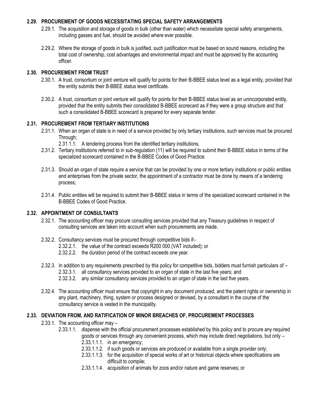## <span id="page-21-0"></span>**2.29. PROCUREMENT OF GOODS NECESSITATING SPECIAL SAFETY ARRANGEMENTS**

- 2.29.1. The acquisition and storage of goods in bulk (other than water) which necessitate special safety arrangements, including gasses and fuel, should be avoided where ever possible.
- 2.29.2. Where the storage of goods in bulk is justified, such justification must be based on sound reasons, including the total cost of ownership, cost advantages and environmental impact and must be approved by the accounting officer.

## <span id="page-21-1"></span>**2.30. PROCUREMENT FROM TRUST**

- 2.30.1. A trust, consortium or joint venture will qualify for points for their B-BBEE status level as a legal entity, provided that the entity submits their B-BBEE status level certificate.
- 2.30.2. A trust, consortium or joint venture will qualify for points for their B-BBEE status level as an unincorporated entity, provided that the entity submits their consolidated B-BBEE scorecard as if they were a group structure and that such a consolidated B-BBEE scorecard is prepared for every separate tender.

## <span id="page-21-2"></span>**2.31. PROCUREMENT FROM TERTIARY INSTITUTIONS**

- 2.31.1. When an organ of state is in need of a service provided by only tertiary institutions, such services must be procured Through;
	- 2.31.1.1. A tendering process from the identified tertiary institutions.
- 2.31.2. Tertiary institutions referred to in sub-regulation (11) will be required to submit their B-BBEE status in terms of the specialized scorecard contained in the B-BBEE Codes of Good Practice.
- 2.31.3. Should an organ of state require a service that can be provided by one or more tertiary institutions or public entities and enterprises from the private sector, the appointment of a contractor must be done by means of a tendering process;
- 2.31.4. Public entities will be required to submit their B-BBEE status in terms of the specialized scorecard contained in the B-BBEE Codes of Good Practice.

#### <span id="page-21-3"></span>**2.32. APPOINTMENT OF CONSULTANTS**

- 2.32.1. The accounting officer may procure consulting services provided that any Treasury guidelines in respect of consulting services are taken into account when such procurements are made.
- 2.32.2. Consultancy services must be procured through competitive bids if–
	- 2.32.2.1. the value of the contract exceeds R200 000 (VAT included); or
	- 2.32.2.2. the duration period of the contract exceeds one year.
- 2.32.3. In addition to any requirements prescribed by this policy for competitive bids, bidders must furnish particulars of 2.32.3.1. all consultancy services provided to an organ of state in the last five years; and
	- 2.32.3.2. any similar consultancy services provided to an organ of state in the last five years.
- 2.32.4. The accounting officer must ensure that copyright in any document produced, and the patent rights or ownership in any plant, machinery, thing, system or process designed or devised, by a consultant in the course of the consultancy service is vested in the municipality.

#### <span id="page-21-4"></span>**2.33. DEVIATION FROM, AND RATIFICATION OF MINOR BREACHES OF, PROCUREMENT PROCESSES**

- 2.33.1. The accounting officer may
	- 2.33.1.1. dispense with the official procurement processes established by this policy and to procure any required goods or services through any convenient process, which may include direct negotiations, but only – 2.33.1.1.1. in an emergency;
		- 2.33.1.1.2. if such goods or services are produced or available from a single provider only;
		- 2.33.1.1.3. for the acquisition of special works of art or historical objects where specifications are difficult to compile;
		- 2.33.1.1.4. acquisition of animals for zoos and/or nature and game reserves; or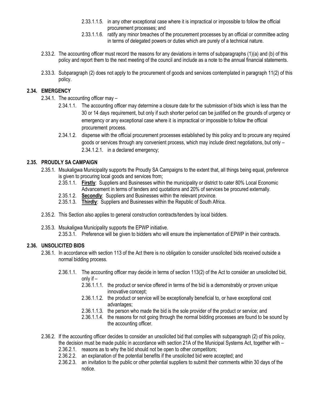- 2.33.1.1.5. in any other exceptional case where it is impractical or impossible to follow the official procurement processes; and
- 2.33.1.1.6. ratify any minor breaches of the procurement processes by an official or committee acting in terms of delegated powers or duties which are purely of a technical nature.
- 2.33.2. The accounting officer must record the reasons for any deviations in terms of subparagraphs (1)(a) and (b) of this policy and report them to the next meeting of the council and include as a note to the annual financial statements.
- 2.33.3. Subparagraph (2) does not apply to the procurement of goods and services contemplated in paragraph 11(2) of this policy.

## <span id="page-22-0"></span>**2.34. EMERGENCY**

- 2.34.1. The accounting officer may
	- 2.34.1.1. The accounting officer may determine a closure date for the submission of bids which is less than the 30 or 14 days requirement, but only if such shorter period can be justified on the grounds of urgency or emergency or any exceptional case where it is impractical or impossible to follow the official procurement process.
	- 2.34.1.2. dispense with the official procurement processes established by this policy and to procure any required goods or services through any convenient process, which may include direct negotiations, but only – 2.34.1.2.1. in a declared emergency;

## <span id="page-22-1"></span>**2.35. PROUDLY SA CAMPAIGN**

- 2.35.1. Msukaligwa Municipality supports the Proudly SA Campaigns to the extent that, all things being equal, preference is given to procuring local goods and services from;
	- 2.35.1.1. **Firstly**: Suppliers and Businesses within the municipality or district to cater 80% Local Economic Advancement in terms of tenders and quotations and 20% of services be procured externally.
	- 2.35.1.2. **Secondly**: Suppliers and Businesses within the relevant province.
	- 2.35.1.3. **Thirdly**: Suppliers and Businesses within the Republic of South Africa.
- 2.35.2. This Section also applies to general construction contracts/tenders by local bidders.
- 2.35.3. Msukaligwa Municipality supports the EPWP initiative. 2.35.3.1. Preference will be given to bidders who will ensure the implementation of EPWP in their contracts.

## <span id="page-22-2"></span>**2.36. UNSOLICITED BIDS**

- 2.36.1. In accordance with section 113 of the Act there is no obligation to consider unsolicited bids received outside a normal bidding process.
	- 2.36.1.1. The accounting officer may decide in terms of section 113(2) of the Act to consider an unsolicited bid, only if –
		- 2.36.1.1.1. the product or service offered in terms of the bid is a demonstrably or proven unique innovative concept;
		- 2.36.1.1.2. the product or service will be exceptionally beneficial to, or have exceptional cost advantages;
		- 2.36.1.1.3. the person who made the bid is the sole provider of the product or service; and
		- 2.36.1.1.4. the reasons for not going through the normal bidding processes are found to be sound by the accounting officer.
- 2.36.2. If the accounting officer decides to consider an unsolicited bid that complies with subparagraph (2) of this policy, the decision must be made public in accordance with section 21A of the Municipal Systems Act, together with – 2.36.2.1. reasons as to why the bid should not be open to other competitors;
	- 2.36.2.2. an explanation of the potential benefits if the unsolicited bid were accepted; and
	- 2.36.2.3. an invitation to the public or other potential suppliers to submit their comments within 30 days of the notice.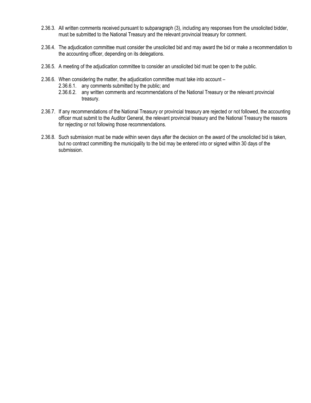- 2.36.3. All written comments received pursuant to subparagraph (3), including any responses from the unsolicited bidder, must be submitted to the National Treasury and the relevant provincial treasury for comment.
- 2.36.4. The adjudication committee must consider the unsolicited bid and may award the bid or make a recommendation to the accounting officer, depending on its delegations.
- 2.36.5. A meeting of the adjudication committee to consider an unsolicited bid must be open to the public.
- 2.36.6. When considering the matter, the adjudication committee must take into account
	- 2.36.6.1. any comments submitted by the public; and
	- 2.36.6.2. any written comments and recommendations of the National Treasury or the relevant provincial treasury.
- 2.36.7. If any recommendations of the National Treasury or provincial treasury are rejected or not followed, the accounting officer must submit to the Auditor General, the relevant provincial treasury and the National Treasury the reasons for rejecting or not following those recommendations.
- 2.36.8. Such submission must be made within seven days after the decision on the award of the unsolicited bid is taken, but no contract committing the municipality to the bid may be entered into or signed within 30 days of the submission.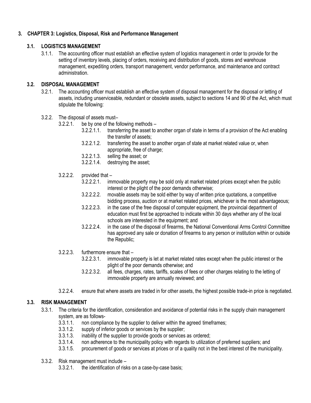## <span id="page-24-1"></span><span id="page-24-0"></span>**3. CHAPTER 3: Logistics, Disposal, Risk and Performance Management**

#### **3.1. LOGISTICS MANAGEMENT**

3.1.1. The accounting officer must establish an effective system of logistics management in order to provide for the setting of inventory levels, placing of orders, receiving and distribution of goods, stores and warehouse management, expediting orders, transport management, vendor performance, and maintenance and contract administration.

#### <span id="page-24-2"></span>**3.2. DISPOSAL MANAGEMENT**

- 3.2.1. The accounting officer must establish an effective system of disposal management for the disposal or letting of assets, including unserviceable, redundant or obsolete assets, subject to sections 14 and 90 of the Act, which must stipulate the following:
- 3.2.2. The disposal of assets must–
	- 3.2.2.1. be by one of the following methods
		- 3.2.2.1.1. transferring the asset to another organ of state in terms of a provision of the Act enabling the transfer of assets;
		- 3.2.2.1.2. transferring the asset to another organ of state at market related value or, when appropriate, free of charge;
		- 3.2.2.1.3. selling the asset; or
		- 3.2.2.1.4. destroying the asset;
	- $3.2.2.2.$  provided that  $-$ 
		- 3.2.2.2.1. immovable property may be sold only at market related prices except when the public interest or the plight of the poor demands otherwise;
		- 3.2.2.2.2. movable assets may be sold either by way of written price quotations, a competitive bidding process, auction or at market related prices, whichever is the most advantageous;
		- 3.2.2.2.3. in the case of the free disposal of computer equipment, the provincial department of education must first be approached to indicate within 30 days whether any of the local schools are interested in the equipment; and
		- 3.2.2.2.4. in the case of the disposal of firearms, the National Conventional Arms Control Committee has approved any sale or donation of firearms to any person or institution within or outside the Republic;
	- 3.2.2.3. furthermore ensure that
		- 3.2.2.3.1. immovable property is let at market related rates except when the public interest or the plight of the poor demands otherwise; and
		- 3.2.2.3.2. all fees, charges, rates, tariffs, scales of fees or other charges relating to the letting of immovable property are annually reviewed; and
	- 3.2.2.4. ensure that where assets are traded in for other assets, the highest possible trade-in price is negotiated.

## <span id="page-24-3"></span>**3.3. RISK MANAGEMENT**

- 3.3.1. The criteria for the identification, consideration and avoidance of potential risks in the supply chain management system, are as follows-
	- 3.3.1.1. non compliance by the supplier to deliver within the agreed timeframes;
	- 3.3.1.2. supply of inferior goods or services by the supplier;
	- 3.3.1.3. inability of the supplier to provide goods or services as ordered;
	- 3.3.1.4. non adherence to the municipality policy with regards to utilization of preferred suppliers; and
	- 3.3.1.5. procurement of goods or services at prices or of a quality not in the best interest of the municipality.
- 3.3.2. Risk management must include
	- 3.3.2.1. the identification of risks on a case-by-case basis;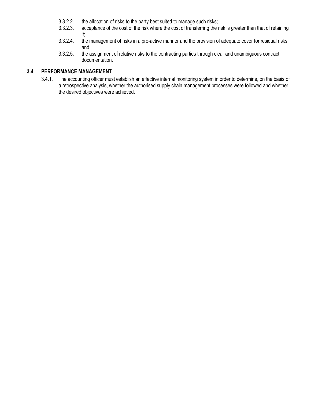- 3.3.2.2. the allocation of risks to the party best suited to manage such risks;<br>3.3.2.3. acceptance of the cost of the risk where the cost of transferring the r
- acceptance of the cost of the risk where the cost of transferring the risk is greater than that of retaining it;
- 3.3.2.4. the management of risks in a pro-active manner and the provision of adequate cover for residual risks; and
- 3.3.2.5. the assignment of relative risks to the contracting parties through clear and unambiguous contract documentation.

## <span id="page-25-0"></span>**3.4. PERFORMANCE MANAGEMENT**

3.4.1. The accounting officer must establish an effective internal monitoring system in order to determine, on the basis of a retrospective analysis, whether the authorised supply chain management processes were followed and whether the desired objectives were achieved.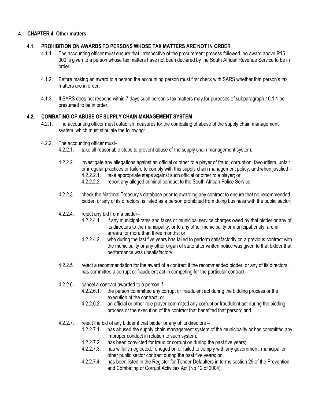## <span id="page-26-1"></span><span id="page-26-0"></span>**4. CHAPTER 4: Other matters**

#### **4.1. PROHIBITION ON AWARDS TO PERSONS WHOSE TAX MATTERS ARE NOT IN ORDER**

- 4.1.1. The accounting officer must ensure that, irrespective of the procurement process followed, no award above R15 000 is given to a person whose tax matters have not been declared by the South African Revenue Service to be in order.
- 4.1.2. Before making an award to a person the accounting person must first check with SARS whether that person's tax matters are in order.
- 4.1.3. If SARS does not respond within 7 days such person's tax matters may for purposes of subparagraph 10.1.1 be presumed to be in order.

## <span id="page-26-2"></span>**4.2. COMBATING OF ABUSE OF SUPPLY CHAIN MANAGEMENT SYSTEM**

- 4.2.1. The accounting officer must establish measures for the combating of abuse of the supply chain management system, which must stipulate the following:
- 4.2.2. The accounting officer must–
	- 4.2.2.1. take all reasonable steps to prevent abuse of the supply chain management system;
	- 4.2.2.2. investigate any allegations against an official or other role player of fraud, corruption, favouritism, unfair or irregular practices or failure to comply with this supply chain management policy, and when justified – 4.2.2.2.1. take appropriate steps against such official or other role player; or
		- 4.2.2.2.2. report any alleged criminal conduct to the South African Police Service;
	- 4.2.2.3. check the National Treasury's database prior to awarding any contract to ensure that no recommended bidder, or any of its directors, is listed as a person prohibited from doing business with the public sector;
	- 4.2.2.4. reject any bid from a bidder–
		- 4.2.2.4.1. if any municipal rates and taxes or municipal service charges owed by that bidder or any of its directors to the municipality, or to any other municipality or municipal entity, are in arrears for more than three months; or
		- 4.2.2.4.2. who during the last five years has failed to perform satisfactorily on a previous contract with the municipality or any other organ of state after written notice was given to that bidder that performance was unsatisfactory;
	- 4.2.2.5. reject a recommendation for the award of a contract if the recommended bidder, or any of its directors, has committed a corrupt or fraudulent act in competing for the particular contract;
	- 4.2.2.6. cancel a contract awarded to a person if
		- 4.2.2.6.1. the person committed any corrupt or fraudulent act during the bidding process or the execution of the contract; or
		- 4.2.2.6.2. an official or other role player committed any corrupt or fraudulent act during the bidding process or the execution of the contract that benefited that person; and
	- 4.2.2.7. reject the bid of any bidder if that bidder or any of its directors
		- 4.2.2.7.1. has abused the supply chain management system of the municipality or has committed any improper conduct in relation to such system;
		- 4.2.2.7.2. has been convicted for fraud or corruption during the past five years;
		- 4.2.2.7.3. has wilfully neglected, reneged on or failed to comply with any government, municipal or other public sector contract during the past five years; or
		- 4.2.2.7.4. has been listed in the Register for Tender Defaulters in terms section 29 of the Prevention and Combating of Corrupt Activities Act (No 12 of 2004).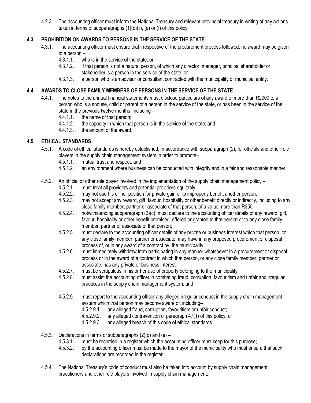4.2.3. The accounting officer must inform the National Treasury and relevant provincial treasury in writing of any actions taken in terms of subparagraphs (1)(b)(ii), (e) or (f) of this policy.

## <span id="page-27-0"></span>**4.3. PROHIBITION ON AWARDS TO PERSONS IN THE SERVICE OF THE STATE**

- 4.3.1. The accounting officer must ensure that irrespective of the procurement process followed, no award may be given to a person –
	- 4.3.1.1. who is in the service of the state; or
	- 4.3.1.2. if that person is not a natural person, of which any director, manager, principal shareholder or stakeholder is a person in the service of the state; or
	- 4.3.1.3. a person who is an advisor or consultant contracted with the municipality or municipal entity.

## <span id="page-27-1"></span>**4.4. AWARDS TO CLOSE FAMILY MEMBERS OF PERSONS IN THE SERVICE OF THE STATE**

- 4.4.1. The notes to the annual financial statements must disclose particulars of any award of more than R2000 to a person who is a spouse, child or parent of a person in the service of the state, or has been in the service of the state in the previous twelve months, including –
	- 4.4.1.1. the name of that person;
	- 4.4.1.2. the capacity in which that person is in the service of the state; and 4.4.1.3. the amount of the award.
	- the amount of the award.

## <span id="page-27-2"></span>**4.5. ETHICAL STANDARDS**

- 4.5.1. A code of ethical standards is hereby established, in accordance with subparagraph (2), for officials and other role players in the supply chain management system in order to promote–
	- 4.5.1.1. mutual trust and respect; and<br>4.5.1.2. an environment where busines
	- an environment where business can be conducted with integrity and in a fair and reasonable manner.
- 4.5.2. An official or other role player involved in the implementation of the supply chain management policy
	- 4.5.2.1. must treat all providers and potential providers equitably;<br>4.5.2.2. may not use his or her position for private gain or to impro-
	- may not use his or her position for private gain or to improperly benefit another person;
	- 4.5.2.3. may not accept any reward, gift, favour, hospitality or other benefit directly or indirectly, including to any close family member, partner or associate of that person, of a value more than R350;
	- 4.5.2.4. notwithstanding subparagraph (2)(c), must declare to the accounting officer details of any reward, gift, favour, hospitality or other benefit promised, offered or granted to that person or to any close family member, partner or associate of that person;
	- 4.5.2.5. must declare to the accounting officer details of any private or business interest which that person, or any close family member, partner or associate, may have in any proposed procurement or disposal process of, or in any award of a contract by, the municipality;
	- 4.5.2.6. must immediately withdraw from participating in any manner whatsoever in a procurement or disposal process or in the award of a contract in which that person, or any close family member, partner or associate, has any private or business interest;
	- 4.5.2.7. must be scrupulous in his or her use of property belonging to the municipality;
	- 4.5.2.8. must assist the accounting officer in combating fraud, corruption, favouritism and unfair and irregular practices in the supply chain management system; and
	- 4.5.2.9. must report to the accounting officer any alleged irregular conduct in the supply chain management system which that person may become aware of, including–
		- 4.5.2.9.1. any alleged fraud, corruption, favouritism or unfair conduct;
		- 4.5.2.9.2. any alleged contravention of paragraph 47(1) of this policy; or
		- 4.5.2.9.3. any alleged breach of this code of ethical standards.
- 4.5.3. Declarations in terms of subparagraphs (2)(d) and (e)
	- 4.5.3.1. must be recorded in a register which the accounting officer must keep for this purpose;
	- 4.5.3.2. by the accounting officer must be made to the mayor of the municipality who must ensure that such declarations are recorded in the register.
- 4.5.4. The National Treasury's code of conduct must also be taken into account by supply chain management practitioners and other role players involved in supply chain management.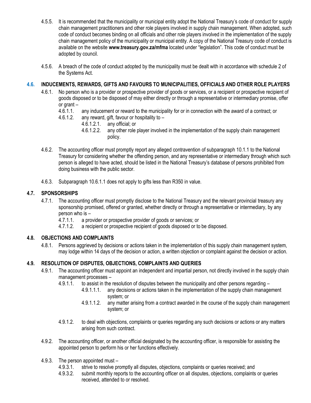- 4.5.5. It is recommended that the municipality or municipal entity adopt the National Treasury's code of conduct for supply chain management practitioners and other role players involved in supply chain management. When adopted, such code of conduct becomes binding on all officials and other role players involved in the implementation of the supply chain management policy of the municipality or municipal entity. A copy of the National Treasury code of conduct is available on the website **www.treasury.gov.za/mfma** located under "legislation". This code of conduct must be adopted by council.
- 4.5.6. A breach of the code of conduct adopted by the municipality must be dealt with in accordance with schedule 2 of the Systems Act.

## <span id="page-28-0"></span>**4.6. INDUCEMENTS, REWARDS, GIFTS AND FAVOURS TO MUNICIPALITIES, OFFICIALS AND OTHER ROLE PLAYERS**

- 4.6.1. No person who is a provider or prospective provider of goods or services, or a recipient or prospective recipient of goods disposed or to be disposed of may either directly or through a representative or intermediary promise, offer or grant  $-$ 
	- 4.6.1.1. any inducement or reward to the municipality for or in connection with the award of a contract; or
	- 4.6.1.2. any reward, gift, favour or hospitality to
		- 4.6.1.2.1. any official; or
		- 4.6.1.2.2. any other role player involved in the implementation of the supply chain management policy.
- 4.6.2. The accounting officer must promptly report any alleged contravention of subparagraph 10.1.1 to the National Treasury for considering whether the offending person, and any representative or intermediary through which such person is alleged to have acted, should be listed in the National Treasury's database of persons prohibited from doing business with the public sector.
- 4.6.3. Subparagraph 10.6.1.1 does not apply to gifts less than R350 in value.

## <span id="page-28-1"></span>**4.7. SPONSORSHIPS**

- 4.7.1. The accounting officer must promptly disclose to the National Treasury and the relevant provincial treasury any sponsorship promised, offered or granted, whether directly or through a representative or intermediary, by any person who is –
	- 4.7.1.1. a provider or prospective provider of goods or services; or
	- 4.7.1.2. a recipient or prospective recipient of goods disposed or to be disposed.

## <span id="page-28-2"></span>**4.8. OBJECTIONS AND COMPLAINTS**

4.8.1. Persons aggrieved by decisions or actions taken in the implementation of this supply chain management system, may lodge within 14 days of the decision or action, a written objection or complaint against the decision or action.

## <span id="page-28-3"></span>**4.9. RESOLUTION OF DISPUTES, OBJECTIONS, COMPLAINTS AND QUERIES**

- 4.9.1. The accounting officer must appoint an independent and impartial person, not directly involved in the supply chain management processes –
	- 4.9.1.1. to assist in the resolution of disputes between the municipality and other persons regarding
		- 4.9.1.1.1. any decisions or actions taken in the implementation of the supply chain management system; or
		- 4.9.1.1.2. any matter arising from a contract awarded in the course of the supply chain management system; or
	- 4.9.1.2. to deal with objections, complaints or queries regarding any such decisions or actions or any matters arising from such contract.
- 4.9.2. The accounting officer, or another official designated by the accounting officer, is responsible for assisting the appointed person to perform his or her functions effectively.
- 4.9.3. The person appointed must
	- 4.9.3.1. strive to resolve promptly all disputes, objections, complaints or queries received; and
	- 4.9.3.2. submit monthly reports to the accounting officer on all disputes, objections, complaints or queries received, attended to or resolved.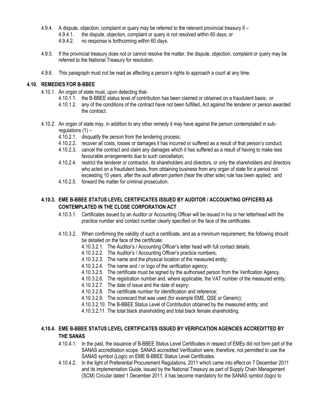- 4.9.4. A dispute, objection, complaint or query may be referred to the relevant provincial treasury if
	- 4.9.4.1. the dispute, objection, complaint or query is not resolved within 60 days; or
	- 4.9.4.2. no response is forthcoming within 60 days.
- 4.9.5. If the provincial treasury does not or cannot resolve the matter, the dispute, objection, complaint or query may be referred to the National Treasury for resolution.
- 4.9.6. This paragraph must not be read as affecting a person's rights to approach a court at any time.

## <span id="page-29-0"></span>**4.10. REMEDIES FOR B-BBEE**

- 4.10.1. An organ of state must, upon detecting that-
	- 4.10.1.1. the B-BBEE status level of contribution has been claimed or obtained on a fraudulent basis; or
	- 4.10.1.2. any of the conditions of the contract have not been fulfilled, Act against the tenderer or person awarded the contract.
- 4.10.2. An organ of state may, in addition to any other remedy it may have against the person contemplated in subregulations  $(1)$  –
	- 4.10.2.1. disqualify the person from the tendering process;
	- 4.10.2.2. recover all costs, losses or damages it has incurred or suffered as a result of that person's conduct;
	- 4.10.2.3. cancel the contract and claim any damages which it has suffered as a result of having to make less favourable arrangements due to such cancellation;
	- 4.10.2.4. restrict the tenderer or contractor, its shareholders and directors, or only the shareholders and directors who acted on a fraudulent basis, from obtaining business from any organ of state for a period not exceeding 10 years, after the *audi alteram partem* (hear the other side) rule has been applied; and
	- 4.10.2.5. forward the matter for criminal prosecution.

## <span id="page-29-1"></span>**4.10.3. EME B-BBEE STATUS LEVEL CERTIFICATES ISSUED BY AUDITOR / ACCOUNTING OFFICERS AS CONTEMPLATED IN THE CLOSE CORPORATION ACT**

- 4.10.3.1. Certificates issued by an Auditor or Accounting Officer will be issued in his or her letterhead with the practice number and contact number clearly specified on the face of the certificates.
- 4.10.3.2. When confirming the validity of such a certificate, and as a minimum requirement, the following should be detailed on the face of the certificate:
	- 4.10.3.2.1. The Auditor's / Accounting Officer's letter head with full contact details;
	- 4.10.3.2.2. The Auditor's / Accounting Officer's practice numbers;
	- 4.10.3.2.3. The name and the physical location of the measured entity;
	- 4.10.3.2.4. The name and / or logo of the verification agency;
	- 4.10.3.2.5. The certificate must be signed by the authorised person from the Verification Agency.
	- 4.10.3.2.6. The registration number and, where applicable, the VAT number of the measured entity;
	- 4.10.3.2.7. The date of issue and the date of expiry;
	- 4.10.3.2.8. The certificate number for identification and reference;
	- 4.10.3.2.9. The scorecard that was used (for example EME, QSE or Generic);
	- 4.10.3.2.10. The B-BBEE Status Level of Contribution obtained by the measured entity; and
	- 4.10.3.2.11. The total black shareholding and total black female shareholding.

## <span id="page-29-2"></span>**4.10.4. EME B-BBEE STATUS LEVEL CERTIFICATES ISSUED BY VERIFICATION AGENCIES ACCREDITTED BY THE SANAS**

- 4.10.4.1. In the past, the issuance of B-BBEE Status Level Certificates in respect of EMEs did not form part of the SANAS accreditation scope. SANAS accredited Verification were, therefore, not permitted to use the SANAS symbol (Logo) on EME B-BBEE Status Level Certificates.
- 4.10.4.2. In the light of Preferential Procurement Regulations, 2011 which came into effect on 7 December 2011 and its implementation Guide, issued by the National Treasury as part of Supply Chain Management (SCM) Circular dated 1 December 2011, it has become mandatory for the SANAS symbol (logo) to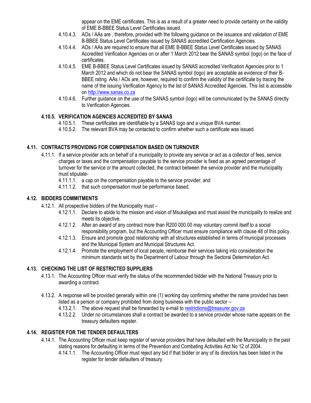appear on the EME certificates. This is as a result of a greater need to provide certainty on the validity of EME B-BBEE Status Level Certificates issued.

- 4.10.4.3. AOs / AAs are , therefore, provided with the following guidance on the issuance and validation of EME B-BBEE Status Level Certificates issued by SANAS accredited Certification Agencies.
- 4.10.4.4. AOs / AAs are required to ensure that all EME B-BBEE Status Level Certificates issued by SANAS Accredited Verification Agencies on or after 1 March 2012 bear the SANAS symbol (logo) on the face of certificates.
- 4.10.4.5. EME B-BBEE Status Level Certificates issued by SANAS accredited Verification Agencies prior to 1 March 2012 and which do not bear the SANAS symbol (logo) are acceptable as evidence of their B-BBEE rating. AAs / AOs are, however, required to confirm the validity of the certificate by tracing the name of the issuing Verification Agency to the list of SANAS Accredited Agencies. This list is accessible on [http://www.sanas.co.za](http://www.sanas.co.za/)
- 4.10.4.6. Further guidance on the use of the SANAS symbol (logo) will be communicated by the SANAS directly to Verification Agencies.

## <span id="page-30-0"></span>**4.10.5. VERIFICATION AGENCIES ACCREDITED BY SANAS**

- 4.10.5.1. These certificates are identifiable by a SANAS logo and a unique BVA number.
- 4.10.5.2. The relevant BVA may be contacted to confirm whether such a certificate was issued.

## <span id="page-30-1"></span>**4.11. CONTRACTS PROVIDING FOR COMPENSATION BASED ON TURNOVER**

- 4.11.1. If a service provider acts on behalf of a municipality to provide any service or act as a collector of fees, service charges or taxes and the compensation payable to the service provider is fixed as an agreed percentage of turnover for the service or the amount collected, the contract between the service provider and the municipality must stipulate-
	- 4.11.1.1. a cap on the compensation payable to the service provider; and
	- 4.11.1.2. that such compensation must be performance based.

## <span id="page-30-2"></span>**4.12. BIDDERS COMMITMENTS**

- 4.12.1. All prospective bidders of the Municipality must
	- 4.12.1.1. Declare to abide to the mission and vision of Msukaligwa and must assist the municipality to realize and meets its objective.
	- 4.12.1.2. After an award of any contract more than R200 000.00 may voluntary commit itself to a social responsibility program, but the Accounting Officer must ensure compliance with clause 48 of this policy.
	- 4.12.1.3. Ensure and promote good relationship with all structures established in terms of municipal processes and the Municipal System and Municipal Structures Act.
	- 4.12.1.4. Promote the employment of local people, reimburse their services taking into consideration the minimum standards set by the Department of Labour through the Sectoral Determination Act.

## <span id="page-30-3"></span>**4.13. CHECKING THE LIST OF RESTRICTED SUPPLIERS**

- 4.13.1. The Accounting Officer must verify the status of the recommended bidder with the National Treasury prior to awarding a contract.
- 4.13.2. A response will be provided generally within one (1) working day confirming whether the name provided has been listed as a person or company prohibited from doing business with the public sector –
	- 4.13.2.1. The above request shall be forwarded by e-mail to [restrictions@treasurer.gov.za](mailto:restrictions@treasurer.gov.za)
	- 4.13.2.2. Under no circumstances shall a contract be awarded to a service provider whose name appears on the treasury defaulters register.

## <span id="page-30-4"></span>**4.14. REGISTER FOR THE TENDER DEFAULTERS**

- 4.14.1. The Accounting Officer must keep register of service providers that have defaulted with the Municipality in the past stating reasons for defaulting in terms of the Prevention and Combating Activities Act No 12 of 2004.
	- 4.14.1.1. The Accounting Officer must reject any bid if that bidder or any of its directors has been listed in the register for tender defaulters of treasury.